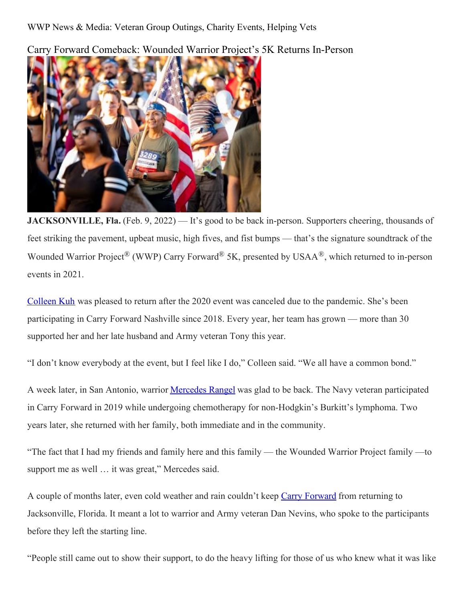Carry Forward Comeback: Wounded Warrior Project's 5K Returns In-Person



**JACKSONVILLE, Fla.** (Feb. 9, 2022) — It's good to be back in-person. Supporters cheering, thousands of feet striking the pavement, upbeat music, high fives, and fist bumps — that's the signature soundtrack of the Wounded Warrior Project<sup>®</sup> (WWP) Carry Forward<sup>®</sup> 5K, presented by USAA<sup>®</sup>, which returned to in-person events in 2021.

[Colleen](https://newsroom.woundedwarriorproject.org/Love-That-Transcends-Military-Spouse-Honors-Husbands-Memory,-Supports-Veterans,-Through-Carry-Forward-5K) Kuh was pleased to return after the 2020 event was canceled due to the pandemic. She's been participating in Carry Forward Nashville since 2018. Every year, her team has grown — more than 30 supported her and her late husband and Army veteran Tony this year.

"I don't know everybody at the event, but I feel like I do," Colleen said. "We all have a common bond."

A week later, in San Antonio, warrior [Mercedes](https://www.facebook.com/wwpcarryforward/videos/1226417891102263) Rangel was glad to be back. The Navy veteran participated in Carry Forward in 2019 while undergoing chemotherapy for non-Hodgkin's Burkitt's lymphoma. Two years later, she returned with her family, both immediate and in the community.

"The fact that I had my friends and family here and this family — the Wounded Warrior Project family —to support me as well … it was great," Mercedes said.

A couple of months later, even cold weather and rain couldn't keep Carry [Forward](https://carryforward.woundedwarriorproject.org/) from returning to Jacksonville, Florida. It meant a lot to warrior and Army veteran Dan Nevins, who spoke to the participants before they left the starting line.

"People still came out to show their support, to do the heavy lifting for those of us who knew what it was like